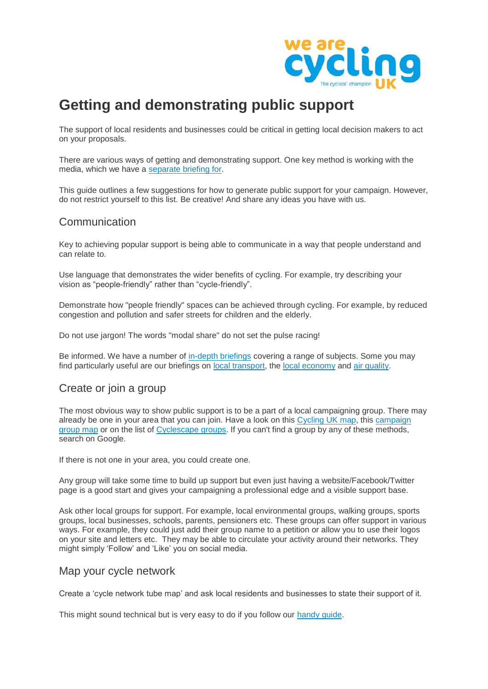

# **Getting and demonstrating public support**

The support of local residents and businesses could be critical in getting local decision makers to act on your proposals.

There are various ways of getting and demonstrating support. One key method is working with the media, which we have a [separate briefing for.](https://www.cyclinguk.org/node/92806)

This guide outlines a few suggestions for how to generate public support for your campaign. However, do not restrict yourself to this list. Be creative! And share any ideas you have with us.

## Communication

Key to achieving popular support is being able to communicate in a way that people understand and can relate to.

Use language that demonstrates the wider benefits of cycling. For example, try describing your vision as "people-friendly" rather than "cycle-friendly".

Demonstrate how "people friendly" spaces can be achieved through cycling. For example, by reduced congestion and pollution and safer streets for children and the elderly.

Do not use jargon! The words "modal share" do not set the pulse racing!

Be informed. We have a number of [in-depth briefings](https://www.cyclinguk.org/node/7144) covering a range of subjects. Some you may find particularly useful are our briefings on [local transport,](https://www.cyclinguk.org/node/1776) the [local economy](https://www.cyclinguk.org/node/9053) and [air quality.](https://www.cyclinguk.org/node/59546)

# Create or join a group

The most obvious way to show public support is to be a part of a local campaigning group. There may already be one in your area that you can join. Have a look on this [Cycling UK map,](https://www.cyclinguk.org/node/5895) this campaign [group map](https://fusiontables.googleusercontent.com/embedviz?q=select+col9%3E%3E1+from+1UWRCs0kivqNsQFg_x81WoOE6rhh3P86eJTjfDgVK&viz=MAP&h=false&lat=54.3671509516829&lng=-4.615239372558553&t=1&z=6&l=col9%3E%3E1&y=2&tmplt=2&hml=KML) or on the list of [Cyclescape](https://www.cyclescape.org/groups) groups. If you can't find a group by any of these methods, search on Google.

If there is not one in your area, you could create one.

Any group will take some time to build up support but even just having a website/Facebook/Twitter page is a good start and gives your campaigning a professional edge and a visible support base.

Ask other local groups for support. For example, local environmental groups, walking groups, sports groups, local businesses, schools, parents, pensioners etc. These groups can offer support in various ways. For example, they could just add their group name to a petition or allow you to use their logos on your site and letters etc. They may be able to circulate your activity around their networks. They might simply 'Follow' and 'Like' you on social media.

#### Map your cycle network

Create a 'cycle network tube map' and ask local residents and businesses to state their support of it.

This might sound technical but is very easy to do if you follow our [handy guide.](https://www.cyclinguk.org/node/81716)